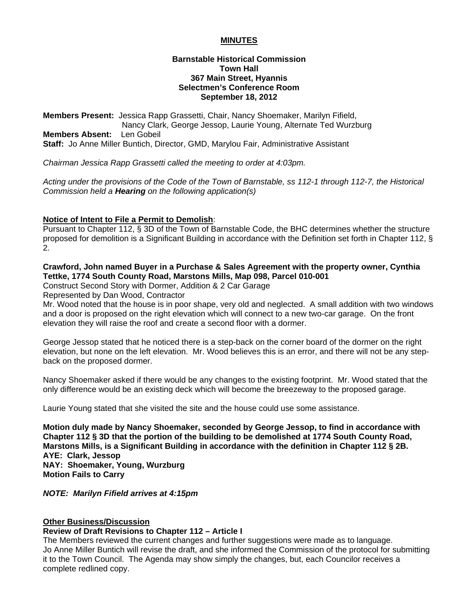# **MINUTES**

### **Barnstable Historical Commission Town Hall 367 Main Street, Hyannis Selectmen's Conference Room September 18, 2012**

**Members Present:** Jessica Rapp Grassetti, Chair, Nancy Shoemaker, Marilyn Fifield, Nancy Clark, George Jessop, Laurie Young, Alternate Ted Wurzburg **Members Absent:** Len Gobeil **Staff:** Jo Anne Miller Buntich, Director, GMD, Marylou Fair, Administrative Assistant

*Chairman Jessica Rapp Grassetti called the meeting to order at 4:03pm.* 

*Acting under the provisions of the Code of the Town of Barnstable, ss 112-1 through 112-7, the Historical Commission held a Hearing on the following application(s)* 

# **Notice of Intent to File a Permit to Demolish**:

Pursuant to Chapter 112, § 3D of the Town of Barnstable Code, the BHC determines whether the structure proposed for demolition is a Significant Building in accordance with the Definition set forth in Chapter 112, § 2.

# **Crawford, John named Buyer in a Purchase & Sales Agreement with the property owner, Cynthia Tettke, 1774 South County Road, Marstons Mills, Map 098, Parcel 010-001**

Construct Second Story with Dormer, Addition & 2 Car Garage

Represented by Dan Wood, Contractor

Mr. Wood noted that the house is in poor shape, very old and neglected. A small addition with two windows and a door is proposed on the right elevation which will connect to a new two-car garage. On the front elevation they will raise the roof and create a second floor with a dormer.

George Jessop stated that he noticed there is a step-back on the corner board of the dormer on the right elevation, but none on the left elevation. Mr. Wood believes this is an error, and there will not be any stepback on the proposed dormer.

Nancy Shoemaker asked if there would be any changes to the existing footprint. Mr. Wood stated that the only difference would be an existing deck which will become the breezeway to the proposed garage.

Laurie Young stated that she visited the site and the house could use some assistance.

**Motion duly made by Nancy Shoemaker, seconded by George Jessop, to find in accordance with Chapter 112 § 3D that the portion of the building to be demolished at 1774 South County Road, Marstons Mills, is a Significant Building in accordance with the definition in Chapter 112 § 2B. AYE: Clark, Jessop NAY: Shoemaker, Young, Wurzburg Motion Fails to Carry** 

*NOTE: Marilyn Fifield arrives at 4:15pm* 

#### **Other Business/Discussion**

#### **Review of Draft Revisions to Chapter 112 – Article I**

The Members reviewed the current changes and further suggestions were made as to language. Jo Anne Miller Buntich will revise the draft, and she informed the Commission of the protocol for submitting it to the Town Council. The Agenda may show simply the changes, but, each Councilor receives a complete redlined copy.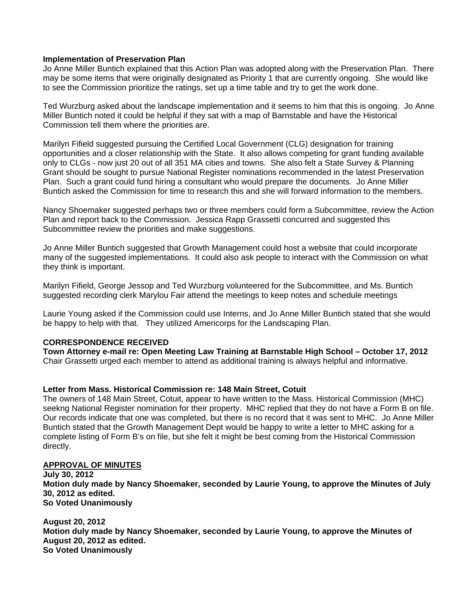#### **Implementation of Preservation Plan**

Jo Anne Miller Buntich explained that this Action Plan was adopted along with the Preservation Plan. There may be some items that were originally designated as Priority 1 that are currently ongoing. She would like to see the Commission prioritize the ratings, set up a time table and try to get the work done.

Ted Wurzburg asked about the landscape implementation and it seems to him that this is ongoing. Jo Anne Miller Buntich noted it could be helpful if they sat with a map of Barnstable and have the Historical Commission tell them where the priorities are.

Marilyn Fifield suggested pursuing the Certified Local Government (CLG) designation for training opportunities and a closer relationship with the State. It also allows competing for grant funding available only to CLGs - now just 20 out of all 351 MA cities and towns. She also felt a State Survey & Planning Grant should be sought to pursue National Register nominations recommended in the latest Preservation Plan. Such a grant could fund hiring a consultant who would prepare the documents. Jo Anne Miller Buntich asked the Commission for time to research this and she will forward information to the members.

Nancy Shoemaker suggested perhaps two or three members could form a Subcommittee, review the Action Plan and report back to the Commission. Jessica Rapp Grassetti concurred and suggested this Subcommittee review the priorities and make suggestions.

Jo Anne Miller Buntich suggested that Growth Management could host a website that could incorporate many of the suggested implementations. It could also ask people to interact with the Commission on what they think is important.

Marilyn Fifield, George Jessop and Ted Wurzburg volunteered for the Subcommittee, and Ms. Buntich suggested recording clerk Marylou Fair attend the meetings to keep notes and schedule meetings

Laurie Young asked if the Commission could use Interns, and Jo Anne Miller Buntich stated that she would be happy to help with that. They utilized Americorps for the Landscaping Plan.

#### **CORRESPONDENCE RECEIVED**

**Town Attorney e-mail re: Open Meeting Law Training at Barnstable High School – October 17, 2012**  Chair Grassetti urged each member to attend as additional training is always helpful and informative.

#### **Letter from Mass. Historical Commission re: 148 Main Street, Cotuit**

The owners of 148 Main Street, Cotuit, appear to have written to the Mass. Historical Commission (MHC) seekng National Register nomination for their property. MHC replied that they do not have a Form B on file. Our records indicate that one was completed, but there is no record that it was sent to MHC. Jo Anne Miller Buntich stated that the Growth Management Dept would be happy to write a letter to MHC asking for a complete listing of Form B's on file, but she felt it might be best coming from the Historical Commission directly.

#### **APPROVAL OF MINUTES**

**July 30, 2012 Motion duly made by Nancy Shoemaker, seconded by Laurie Young, to approve the Minutes of July 30, 2012 as edited. So Voted Unanimously** 

**August 20, 2012 Motion duly made by Nancy Shoemaker, seconded by Laurie Young, to approve the Minutes of August 20, 2012 as edited. So Voted Unanimously**